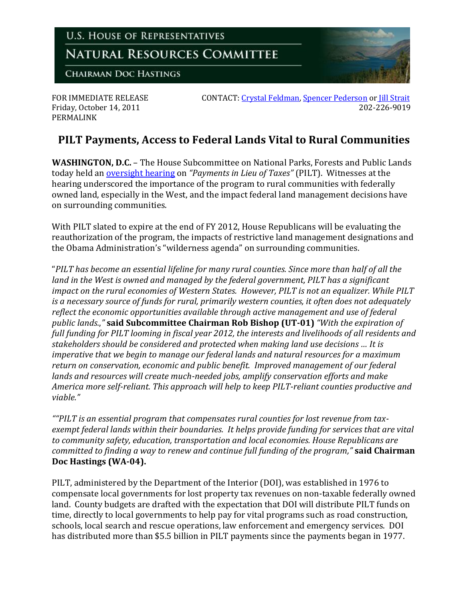

PERMALINK

FOR IMMEDIATE RELEASE CONTACT: [Crystal Feldman,](mailto:crystal.feldman@mail.house.gov) [Spencer Pederson](mailto:spencer.pederson@mail.house.gov) or Jill Strait Friday, October 14, 2011 202-226-9019

## **PILT Payments, Access to Federal Lands Vital to Rural Communities**

**WASHINGTON, D.C.** – The House Subcommittee on National Parks, Forests and Public Lands today held an [oversight hearing](http://naturalresources.house.gov/Calendar/EventSingle.aspx?EventID=263473) on *"Payments in Lieu of Taxes"* (PILT). Witnesses at the hearing underscored the importance of the program to rural communities with federally owned land, especially in the West, and the impact federal land management decisions have on surrounding communities.

With PILT slated to expire at the end of FY 2012, House Republicans will be evaluating the reauthorization of the program, the impacts of restrictive land management designations and the Obama Administration's "wilderness agenda" on surrounding communities.

"*PILT has become an essential lifeline for many rural counties. Since more than half of all the land in the West is owned and managed by the federal government, PILT has a significant impact on the rural economies of Western States. However, PILT is not an equalizer. While PILT is a necessary source of funds for rural, primarily western counties, it often does not adequately reflect the economic opportunities available through active management and use of federal public lands.*,*"* **said Subcommittee Chairman Rob Bishop (UT-01)** *"With the expiration of full funding for PILT looming in fiscal year 2012, the interests and livelihoods of all residents and stakeholders should be considered and protected when making land use decisions … It is imperative that we begin to manage our federal lands and natural resources for a maximum return on conservation, economic and public benefit. Improved management of our federal lands and resources will create much-needed jobs, amplify conservation efforts and make America more self-reliant. This approach will help to keep PILT-reliant counties productive and viable."*

*""PILT is an essential program that compensates rural counties for lost revenue from taxexempt federal lands within their boundaries. It helps provide funding for services that are vital to community safety, education, transportation and local economies. House Republicans are committed to finding a way to renew and continue full funding of the program,"* **said Chairman Doc Hastings (WA-04).**

PILT, administered by the Department of the Interior (DOI), was established in 1976 to compensate local governments for lost property tax revenues on non-taxable federally owned land. County budgets are drafted with the expectation that DOI will distribute PILT funds on time, directly to local governments to help pay for vital programs such as road construction, schools, local search and rescue operations, law enforcement and emergency services. DOI has distributed more than \$5.5 billion in PILT payments since the payments began in 1977.